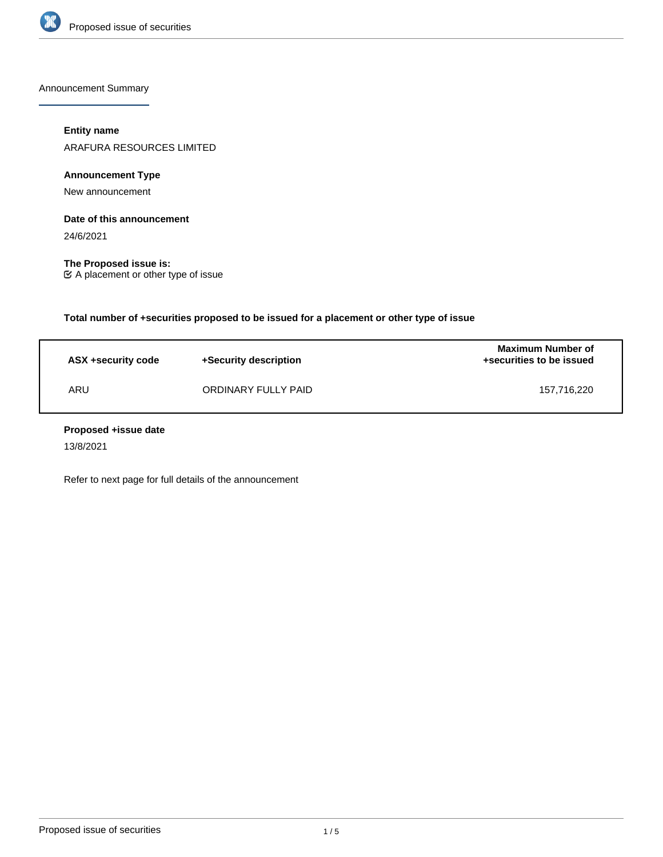

Announcement Summary

### **Entity name**

ARAFURA RESOURCES LIMITED

**Announcement Type**

New announcement

### **Date of this announcement**

24/6/2021

**The Proposed issue is:** A placement or other type of issue

**Total number of +securities proposed to be issued for a placement or other type of issue**

| ASX +security code | +Security description | <b>Maximum Number of</b><br>+securities to be issued |
|--------------------|-----------------------|------------------------------------------------------|
| ARU                | ORDINARY FULLY PAID   | 157.716.220                                          |

### **Proposed +issue date**

13/8/2021

Refer to next page for full details of the announcement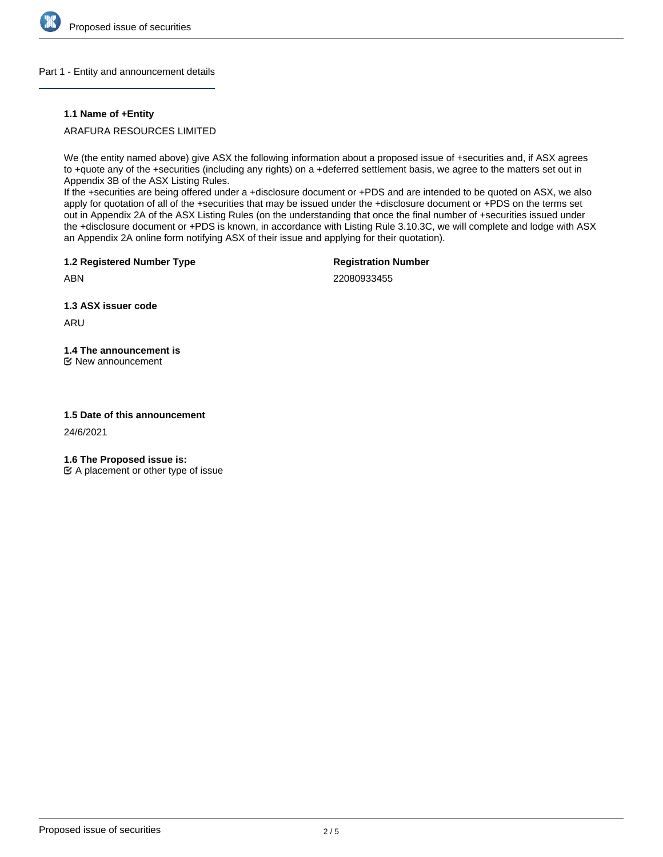

### Part 1 - Entity and announcement details

### **1.1 Name of +Entity**

### ARAFURA RESOURCES LIMITED

We (the entity named above) give ASX the following information about a proposed issue of +securities and, if ASX agrees to +quote any of the +securities (including any rights) on a +deferred settlement basis, we agree to the matters set out in Appendix 3B of the ASX Listing Rules.

If the +securities are being offered under a +disclosure document or +PDS and are intended to be quoted on ASX, we also apply for quotation of all of the +securities that may be issued under the +disclosure document or +PDS on the terms set out in Appendix 2A of the ASX Listing Rules (on the understanding that once the final number of +securities issued under the +disclosure document or +PDS is known, in accordance with Listing Rule 3.10.3C, we will complete and lodge with ASX an Appendix 2A online form notifying ASX of their issue and applying for their quotation).

**1.2 Registered Number Type**

**Registration Number**

ABN

22080933455

**1.3 ASX issuer code**

ARU

# **1.4 The announcement is**

New announcement

### **1.5 Date of this announcement**

24/6/2021

**1.6 The Proposed issue is:**

 $\mathfrak{C}$  A placement or other type of issue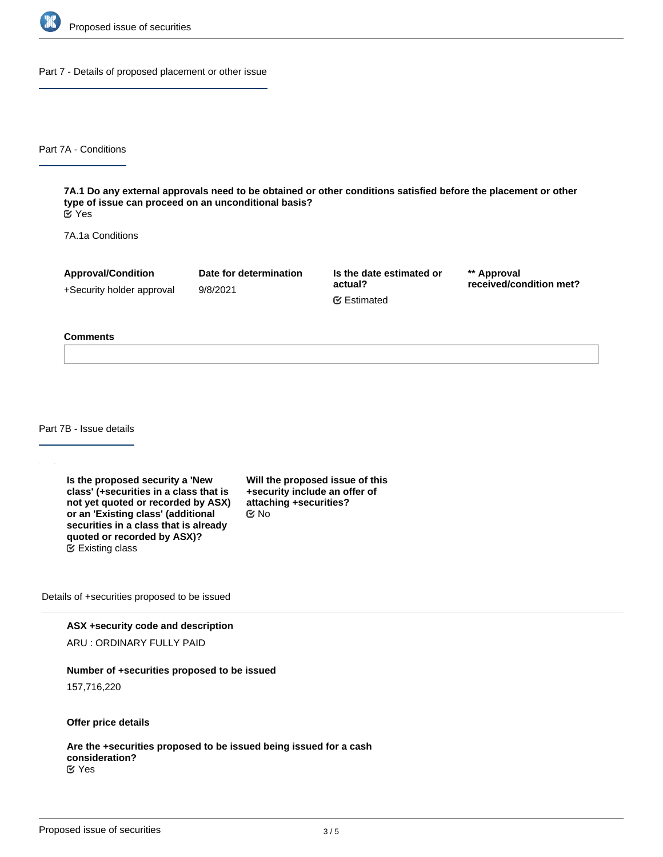

Part 7 - Details of proposed placement or other issue

Part 7A - Conditions

**7A.1 Do any external approvals need to be obtained or other conditions satisfied before the placement or other type of issue can proceed on an unconditional basis?** Yes

7A.1a Conditions

**Approval/Condition** +Security holder approval **Date for determination** 9/8/2021

**Is the date estimated or actual?** Estimated

**\*\* Approval received/condition met?**

#### **Comments**

Part 7B - Issue details

**Is the proposed security a 'New class' (+securities in a class that is not yet quoted or recorded by ASX) or an 'Existing class' (additional securities in a class that is already quoted or recorded by ASX)?** Existing class

**Will the proposed issue of this +security include an offer of attaching +securities?** No

Details of +securities proposed to be issued

**ASX +security code and description**

ARU : ORDINARY FULLY PAID

### **Number of +securities proposed to be issued**

157,716,220

**Offer price details**

**Are the +securities proposed to be issued being issued for a cash consideration?** Yes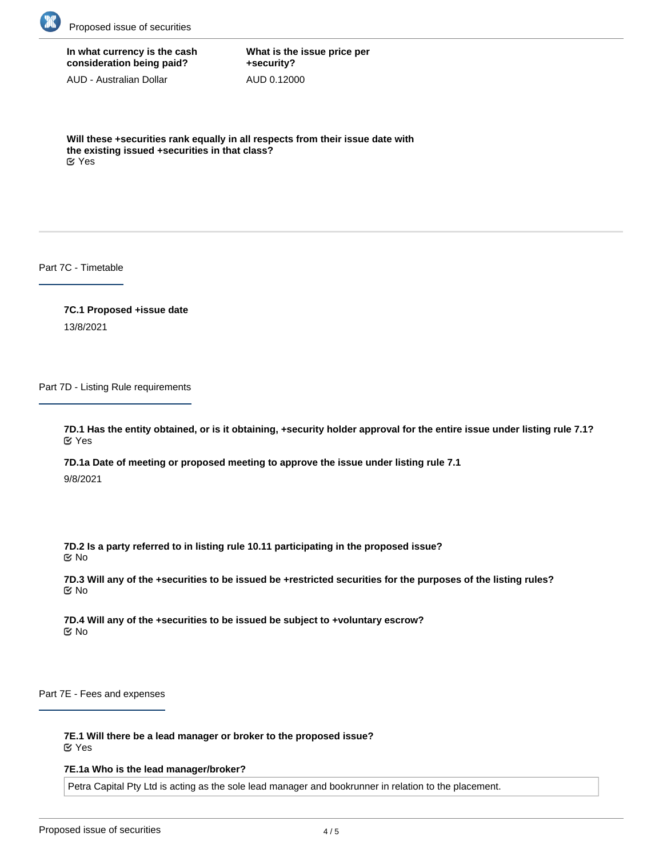

## **In what currency is the cash consideration being paid?**

AUD - Australian Dollar

**What is the issue price per +security?** AUD 0.12000

**Will these +securities rank equally in all respects from their issue date with the existing issued +securities in that class?** Yes

Part 7C - Timetable

**7C.1 Proposed +issue date** 13/8/2021

Part 7D - Listing Rule requirements

**7D.1 Has the entity obtained, or is it obtaining, +security holder approval for the entire issue under listing rule 7.1?** Yes

**7D.1a Date of meeting or proposed meeting to approve the issue under listing rule 7.1** 9/8/2021

**7D.2 Is a party referred to in listing rule 10.11 participating in the proposed issue?** No

**7D.3 Will any of the +securities to be issued be +restricted securities for the purposes of the listing rules?** No

**7D.4 Will any of the +securities to be issued be subject to +voluntary escrow?** No

Part 7E - Fees and expenses

**7E.1 Will there be a lead manager or broker to the proposed issue?** Yes

### **7E.1a Who is the lead manager/broker?**

Petra Capital Pty Ltd is acting as the sole lead manager and bookrunner in relation to the placement.

**7E.1b What fee, commission or other consideration is payable to them for acting as lead manager/broker?**